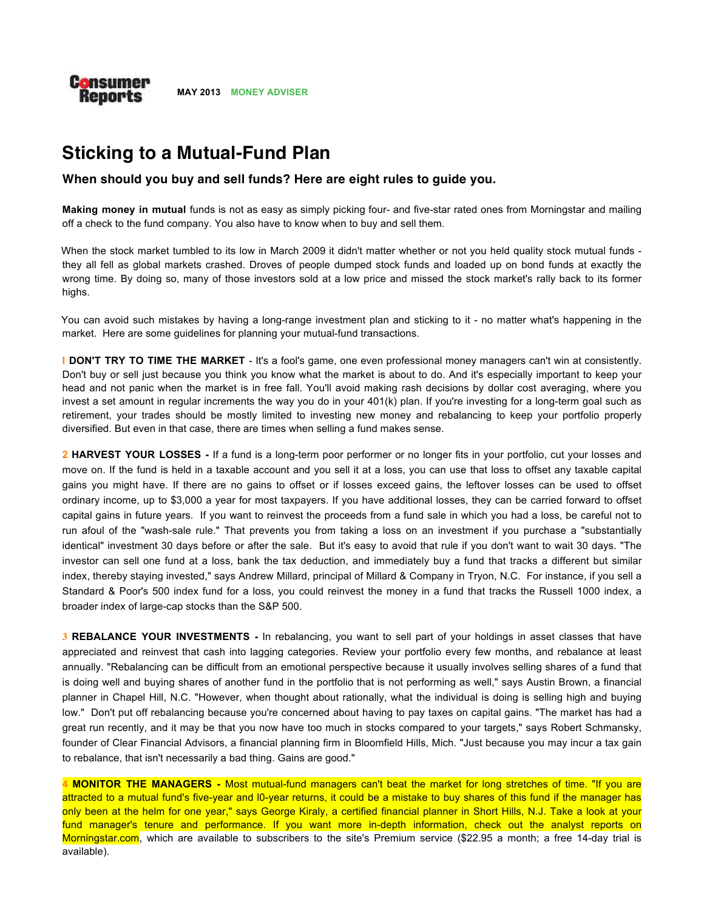

# **Sticking to a Mutual-Fund Plan**

# **When should you buy and sell funds? Here are eight rules to guide you.**

**Making money in mutual** funds is not as easy as simply picking four- and five-star rated ones from Morningstar and mailing off a check to the fund company. You also have to know when to buy and sell them.

When the stock market tumbled to its low in March 2009 it didn't matter whether or not you held quality stock mutual funds they all fell as global markets crashed. Droves of people dumped stock funds and loaded up on bond funds at exactly the wrong time. By doing so, many of those investors sold at a low price and missed the stock market's rally back to its former highs.

You can avoid such mistakes by having a long-range investment plan and sticking to it - no matter what's happening in the market. Here are some guidelines for planning your mutual-fund transactions.

**I DON'T TRY TO TIME THE MARKET** - It's a fool's game, one even professional money managers can't win at consistently. Don't buy or sell just because you think you know what the market is about to do. And it's especially important to keep your head and not panic when the market is in free fall. You'll avoid making rash decisions by dollar cost averaging, where you invest a set amount in regular increments the way you do in your 401(k) plan. If you're investing for a long-term goal such as retirement, your trades should be mostly limited to investing new money and rebalancing to keep your portfolio properly diversified. But even in that case, there are times when selling a fund makes sense.

**2 HARVEST YOUR LOSSES -** If a fund is a long-term poor performer or no longer fits in your portfolio, cut your losses and move on. If the fund is held in a taxable account and you sell it at a loss, you can use that loss to offset any taxable capital gains you might have. If there are no gains to offset or if losses exceed gains, the leftover losses can be used to offset ordinary income, up to \$3,000 a year for most taxpayers. If you have additional losses, they can be carried forward to offset capital gains in future years. If you want to reinvest the proceeds from a fund sale in which you had a loss, be careful not to run afoul of the "wash-sale rule." That prevents you from taking a loss on an investment if you purchase a "substantially identical" investment 30 days before or after the sale. But it's easy to avoid that rule if you don't want to wait 30 days. "The investor can sell one fund at a loss, bank the tax deduction, and immediately buy a fund that tracks a different but similar index, thereby staying invested," says Andrew Millard, principal of Millard & Company in Tryon, N.C. For instance, if you sell a Standard & Poor's 500 index fund for a loss, you could reinvest the money in a fund that tracks the Russell 1000 index, a broader index of large-cap stocks than the S&P 500.

**3 REBALANCE YOUR INVESTMENTS -** In rebalancing, you want to sell part of your holdings in asset classes that have appreciated and reinvest that cash into lagging categories. Review your portfolio every few months, and rebalance at least annually. "Rebalancing can be difficult from an emotional perspective because it usually involves selling shares of a fund that is doing well and buying shares of another fund in the portfolio that is not performing as well," says Austin Brown, a financial planner in Chapel Hill, N.C. "However, when thought about rationally, what the individual is doing is selling high and buying low." Don't put off rebalancing because you're concerned about having to pay taxes on capital gains. "The market has had a great run recently, and it may be that you now have too much in stocks compared to your targets," says Robert Schmansky, founder of Clear Financial Advisors, a financial planning firm in Bloomfield Hills, Mich. "Just because you may incur a tax gain to rebalance, that isn't necessarily a bad thing. Gains are good."

**4 MONITOR THE MANAGERS -** Most mutual-fund managers can't beat the market for long stretches of time. "If you are attracted to a mutual fund's five-year and l0-year returns, it could be a mistake to buy shares of this fund if the manager has only been at the helm for one year," says George Kiraly, a certified financial planner in Short Hills, N.J. Take a look at your fund manager's tenure and performance. If you want more in-depth information, check out the analyst reports on Morningstar.com, which are available to subscribers to the site's Premium service (\$22.95 a month; a free 14-day trial is available).